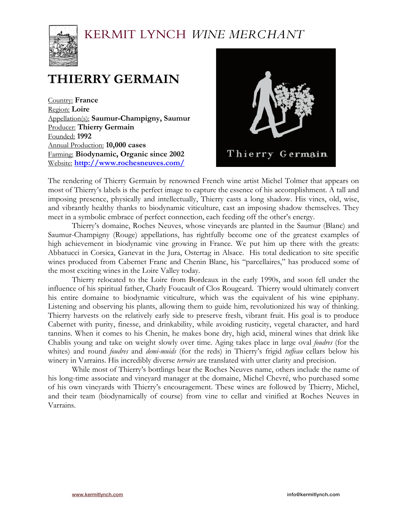

# **THIERRY GERMAIN**

Country: **France** Region: **Loire** Appellation(s): **Saumur-Champigny, Saumur** Producer: **Thierry Germain** Founded: **1992** Annual Production: **10,000 cases** Farming: **Biodynamic, Organic since 2002** Website: **http://www.rochesneuves.com/**



The rendering of Thierry Germain by renowned French wine artist Michel Tolmer that appears on most of Thierry's labels is the perfect image to capture the essence of his accomplishment. A tall and imposing presence, physically and intellectually, Thierry casts a long shadow. His vines, old, wise, and vibrantly healthy thanks to biodynamic viticulture, cast an imposing shadow themselves. They meet in a symbolic embrace of perfect connection, each feeding off the other's energy.

Thierry's domaine, Roches Neuves, whose vineyards are planted in the Saumur (Blanc) and Saumur-Champigny (Rouge) appellations, has rightfully become one of the greatest examples of high achievement in biodynamic vine growing in France. We put him up there with the greats: Abbatucci in Corsica, Ganevat in the Jura, Ostertag in Alsace. His total dedication to site specific wines produced from Cabernet Franc and Chenin Blanc, his "parcellaires," has produced some of the most exciting wines in the Loire Valley today.

Thierry relocated to the Loire from Bordeaux in the early 1990s, and soon fell under the influence of his spiritual father, Charly Foucault of Clos Rougeard. Thierry would ultimately convert his entire domaine to biodynamic viticulture, which was the equivalent of his wine epiphany. Listening and observing his plants, allowing them to guide him, revolutionized his way of thinking. Thierry harvests on the relatively early side to preserve fresh, vibrant fruit. His goal is to produce Cabernet with purity, finesse, and drinkability, while avoiding rusticity, vegetal character, and hard tannins. When it comes to his Chenin, he makes bone dry, high acid, mineral wines that drink like Chablis young and take on weight slowly over time. Aging takes place in large oval *foudres* (for the whites) and round *foudres* and *demi-muids* (for the reds) in Thierry's frigid *tuffeau* cellars below his winery in Varrains. His incredibly diverse *terroirs* are translated with utter clarity and precision.

While most of Thierry's bottlings bear the Roches Neuves name, others include the name of his long-time associate and vineyard manager at the domaine, Michel Chevré, who purchased some of his own vineyards with Thierry's encouragement. These wines are followed by Thierry, Michel, and their team (biodynamically of course) from vine to cellar and vinified at Roches Neuves in Varrains.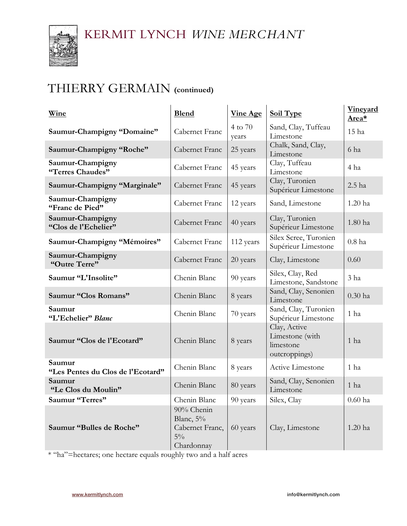

### THIERRY GERMAIN **(continued)**

| Wine                                        | <b>Blend</b>                                                      | <b>Vine Age</b>  | <b>Soil Type</b>                                              | <b>Vineyard</b><br>Area* |
|---------------------------------------------|-------------------------------------------------------------------|------------------|---------------------------------------------------------------|--------------------------|
| Saumur-Champigny "Domaine"                  | Cabernet Franc                                                    | 4 to 70<br>years | Sand, Clay, Tuffeau<br>Limestone                              | 15 ha                    |
| Saumur-Champigny "Roche"                    | Cabernet Franc                                                    | 25 years         | Chalk, Sand, Clay,<br>Limestone                               | 6 ha                     |
| Saumur-Champigny<br>"Terres Chaudes"        | Cabernet Franc                                                    | 45 years         | Clay, Tuffeau<br>Limestone                                    | 4 ha                     |
| Saumur-Champigny "Marginale"                | Cabernet Franc                                                    | 45 years         | Clay, Turonien<br>Supérieur Limestone                         | 2.5 ha                   |
| Saumur-Champigny<br>"Franc de Pied"         | Cabernet Franc                                                    | 12 years         | Sand, Limestone                                               | 1.20 ha                  |
| Saumur-Champigny<br>"Clos de l'Echelier"    | Cabernet Franc                                                    | 40 years         | Clay, Turonien<br>Supérieur Limestone                         | 1.80 ha                  |
| Saumur-Champigny "Mémoires"                 | Cabernet Franc                                                    | 112 years        | Silex Scree, Turonien<br>Supérieur Limestone                  | $0.8$ ha                 |
| Saumur-Champigny<br>"Outre Terre"           | Cabernet Franc                                                    | 20 years         | Clay, Limestone                                               | 0.60                     |
| Saumur "L'Insolite"                         | Chenin Blanc                                                      | 90 years         | Silex, Clay, Red<br>Limestone, Sandstone                      | 3 <sub>ha</sub>          |
| Saumur "Clos Romans"                        | Chenin Blanc                                                      | 8 years          | Sand, Clay, Senonien<br>Limestone                             | $0.30$ ha                |
| Saumur<br>"L'Echelier" Blanc                | Chenin Blanc                                                      | 70 years         | Sand, Clay, Turonien<br>Supérieur Limestone                   | 1 <sub>ha</sub>          |
| Saumur "Clos de l'Ecotard"                  | Chenin Blanc                                                      | 8 years          | Clay, Active<br>Limestone (with<br>limestone<br>outcroppings) | 1 <sub>ha</sub>          |
| Saumur<br>"Les Pentes du Clos de l'Ecotard" | Chenin Blanc                                                      | 8 years          | Active Limestone                                              | 1 <sub>ha</sub>          |
| Saumur<br>"Le Clos du Moulin"               | Chenin Blanc                                                      | 80 years         | Sand, Clay, Senonien<br>Limestone                             | 1 ha                     |
| Saumur "Terres"                             | Chenin Blanc                                                      | 90 years         | Silex, Clay                                                   | $0.60$ ha                |
| Saumur "Bulles de Roche"                    | 90% Chenin<br>Blanc, 5%<br>Cabernet Franc,<br>$5\%$<br>Chardonnay | 60 years         | Clay, Limestone                                               | 1.20 ha                  |

\* "ha"=hectares; one hectare equals roughly two and a half acres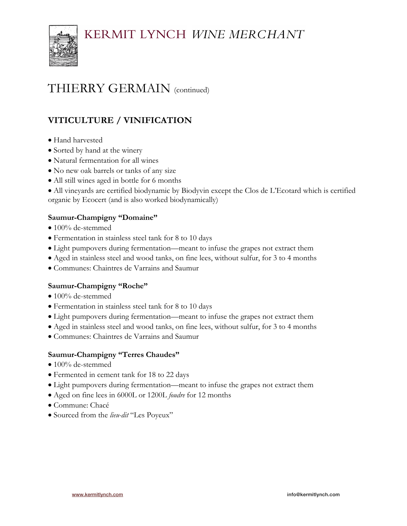

### THIERRY GERMAIN (continued)

### **VITICULTURE / VINIFICATION**

- Hand harvested
- Sorted by hand at the winery
- Natural fermentation for all wines
- No new oak barrels or tanks of any size
- All still wines aged in bottle for 6 months

• All vineyards are certified biodynamic by Biodyvin except the Clos de L'Ecotard which is certified organic by Ecocert (and is also worked biodynamically)

### **Saumur-Champigny "Domaine"**

- 100% de-stemmed
- Fermentation in stainless steel tank for 8 to 10 days
- Light pumpovers during fermentation—meant to infuse the grapes not extract them
- Aged in stainless steel and wood tanks, on fine lees, without sulfur, for 3 to 4 months
- Communes: Chaintres de Varrains and Saumur

#### **Saumur-Champigny "Roche"**

- 100% de-stemmed
- Fermentation in stainless steel tank for 8 to 10 days
- Light pumpovers during fermentation—meant to infuse the grapes not extract them
- Aged in stainless steel and wood tanks, on fine lees, without sulfur, for 3 to 4 months
- Communes: Chaintres de Varrains and Saumur

#### **Saumur-Champigny "Terres Chaudes"**

- 100% de-stemmed
- Fermented in cement tank for 18 to 22 days
- Light pumpovers during fermentation—meant to infuse the grapes not extract them
- Aged on fine lees in 6000L or 1200L *foudre* for 12 months
- Commune: Chacé
- Sourced from the *lieu-dit* "Les Poyeux"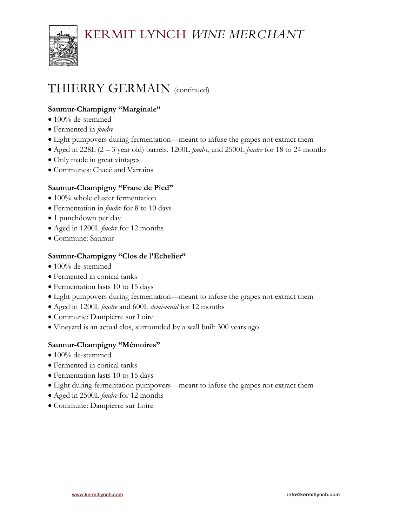

# THIERRY GERMAIN (continued)

### **Saumur-Champigny "Marginale"**

- 100% de-stemmed
- Fermented in *foudre*
- Light pumpovers during fermentation—meant to infuse the grapes not extract them
- Aged in 228L (2 3 year old) barrels, 1200L *foudre*, and 2500L *foudre* for 18 to 24 months
- Only made in great vintages
- Communes: Chacé and Varrains

### **Saumur-Champigny "Franc de Pied"**

- 100% whole cluster fermentation
- Fermentation in *foudre* for 8 to 10 days
- 1 punchdown per day
- Aged in 1200L *foudre* for 12 months
- Commune: Saumur

#### **Saumur-Champigny "Clos de l'Echelier"**

- 100% de-stemmed
- Fermented in conical tanks
- Fermentation lasts 10 to 15 days
- Light pumpovers during fermentation—meant to infuse the grapes not extract them
- Aged in 1200L *foudre* and 600L *demi-muid* for 12 months
- Commune: Dampierre sur Loire
- Vineyard is an actual clos, surrounded by a wall built 300 years ago

#### **Saumur-Champigny "Mémoires"**

- 100% de-stemmed
- Fermented in conical tanks
- Fermentation lasts 10 to 15 days
- Light during fermentation pumpovers—meant to infuse the grapes not extract them
- Aged in 2500L *foudre* for 12 months
- Commune: Dampierre sur Loire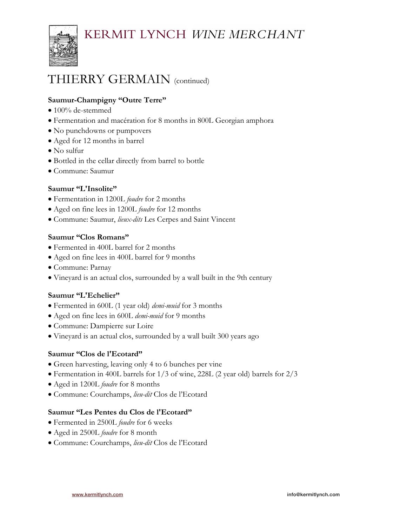

### THIERRY GERMAIN (continued)

### **Saumur-Champigny "Outre Terre"**

- 100% de-stemmed
- Fermentation and macération for 8 months in 800L Georgian amphora
- No punchdowns or pumpovers
- Aged for 12 months in barrel
- No sulfur
- Bottled in the cellar directly from barrel to bottle
- Commune: Saumur

### **Saumur "L'Insolite"**

- Fermentation in 1200L *foudre* for 2 months
- Aged on fine lees in 1200L *foudre* for 12 months
- Commune: Saumur, *lieux-dits* Les Cerpes and Saint Vincent

### **Saumur "Clos Romans"**

- Fermented in 400L barrel for 2 months
- Aged on fine lees in 400L barrel for 9 months
- Commune: Parnay
- Vineyard is an actual clos, surrounded by a wall built in the 9th century

#### **Saumur "L'Echelier"**

- Fermented in 600L (1 year old) *demi-muid* for 3 months
- Aged on fine lees in 600L *demi-muid* for 9 months
- Commune: Dampierre sur Loire
- Vineyard is an actual clos, surrounded by a wall built 300 years ago

#### **Saumur "Clos de l'Ecotard"**

- Green harvesting, leaving only 4 to 6 bunches per vine
- Fermentation in 400L barrels for 1/3 of wine, 228L (2 year old) barrels for 2/3
- Aged in 1200L *foudre* for 8 months
- Commune: Courchamps, *lieu-dit* Clos de l'Ecotard

#### **Saumur "Les Pentes du Clos de l'Ecotard"**

- Fermented in 2500L *foudre* for 6 weeks
- Aged in 2500L *foudre* for 8 month
- Commune: Courchamps, *lieu-dit* Clos de l'Ecotard